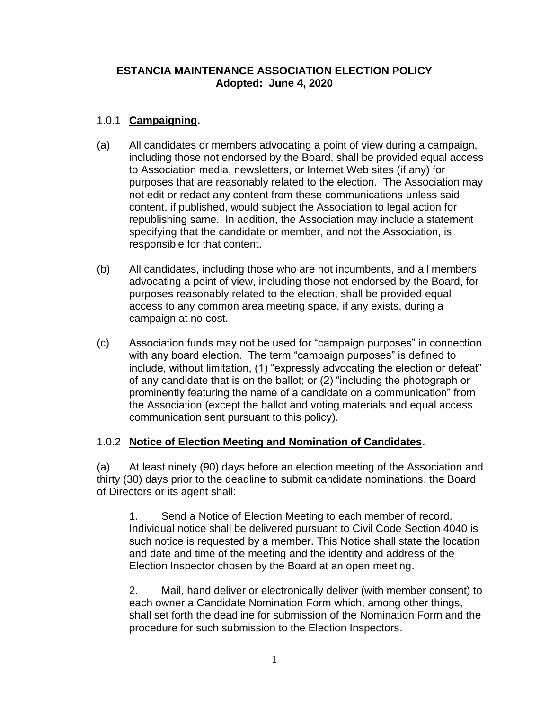### **ESTANCIA MAINTENANCE ASSOCIATION ELECTION POLICY Adopted: June 4, 2020**

# 1.0.1 **Campaigning.**

- (a) All candidates or members advocating a point of view during a campaign, including those not endorsed by the Board, shall be provided equal access to Association media, newsletters, or Internet Web sites (if any) for purposes that are reasonably related to the election. The Association may not edit or redact any content from these communications unless said content, if published, would subject the Association to legal action for republishing same. In addition, the Association may include a statement specifying that the candidate or member, and not the Association, is responsible for that content.
- (b) All candidates, including those who are not incumbents, and all members advocating a point of view, including those not endorsed by the Board, for purposes reasonably related to the election, shall be provided equal access to any common area meeting space, if any exists, during a campaign at no cost.
- (c) Association funds may not be used for "campaign purposes" in connection with any board election. The term "campaign purposes" is defined to include, without limitation, (1) "expressly advocating the election or defeat" of any candidate that is on the ballot; or (2) "including the photograph or prominently featuring the name of a candidate on a communication" from the Association (except the ballot and voting materials and equal access communication sent pursuant to this policy).

## 1.0.2 **Notice of Election Meeting and Nomination of Candidates.**

(a) At least ninety (90) days before an election meeting of the Association and thirty (30) days prior to the deadline to submit candidate nominations, the Board of Directors or its agent shall:

1. Send a Notice of Election Meeting to each member of record. Individual notice shall be delivered pursuant to Civil Code Section 4040 is such notice is requested by a member. This Notice shall state the location and date and time of the meeting and the identity and address of the Election Inspector chosen by the Board at an open meeting.

2. Mail, hand deliver or electronically deliver (with member consent) to each owner a Candidate Nomination Form which, among other things, shall set forth the deadline for submission of the Nomination Form and the procedure for such submission to the Election Inspectors.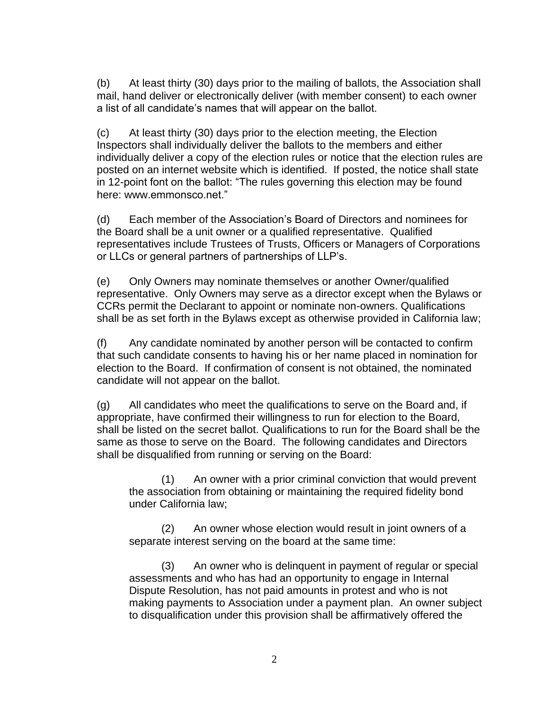(b) At least thirty (30) days prior to the mailing of ballots, the Association shall mail, hand deliver or electronically deliver (with member consent) to each owner a list of all candidate's names that will appear on the ballot.

(c) At least thirty (30) days prior to the election meeting, the Election Inspectors shall individually deliver the ballots to the members and either individually deliver a copy of the election rules or notice that the election rules are posted on an internet website which is identified. If posted, the notice shall state in 12-point font on the ballot: "The rules governing this election may be found here: www.emmonsco.net."

(d) Each member of the Association's Board of Directors and nominees for the Board shall be a unit owner or a qualified representative. Qualified representatives include Trustees of Trusts, Officers or Managers of Corporations or LLCs or general partners of partnerships of LLP's.

(e) Only Owners may nominate themselves or another Owner/qualified representative. Only Owners may serve as a director except when the Bylaws or CCRs permit the Declarant to appoint or nominate non-owners. Qualifications shall be as set forth in the Bylaws except as otherwise provided in California law;

(f) Any candidate nominated by another person will be contacted to confirm that such candidate consents to having his or her name placed in nomination for election to the Board. If confirmation of consent is not obtained, the nominated candidate will not appear on the ballot.

(g) All candidates who meet the qualifications to serve on the Board and, if appropriate, have confirmed their willingness to run for election to the Board, shall be listed on the secret ballot. Qualifications to run for the Board shall be the same as those to serve on the Board. The following candidates and Directors shall be disqualified from running or serving on the Board:

(1) An owner with a prior criminal conviction that would prevent the association from obtaining or maintaining the required fidelity bond under California law;

(2) An owner whose election would result in joint owners of a separate interest serving on the board at the same time:

(3) An owner who is delinquent in payment of regular or special assessments and who has had an opportunity to engage in Internal Dispute Resolution, has not paid amounts in protest and who is not making payments to Association under a payment plan. An owner subject to disqualification under this provision shall be affirmatively offered the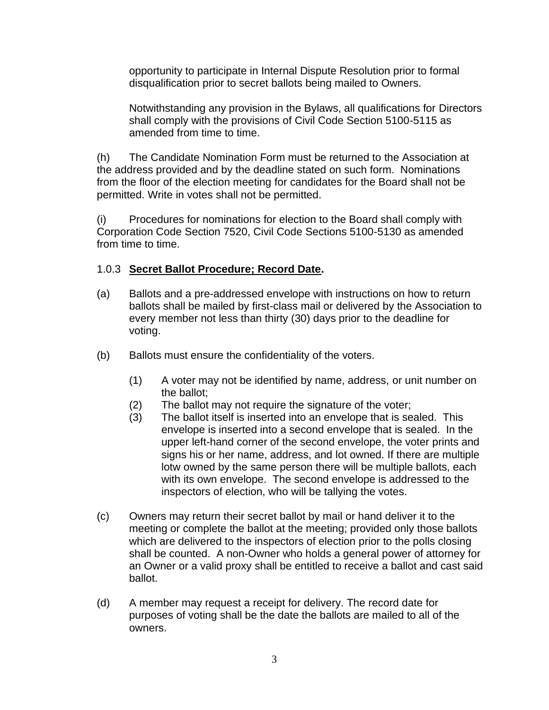opportunity to participate in Internal Dispute Resolution prior to formal disqualification prior to secret ballots being mailed to Owners.

Notwithstanding any provision in the Bylaws, all qualifications for Directors shall comply with the provisions of Civil Code Section 5100-5115 as amended from time to time.

(h) The Candidate Nomination Form must be returned to the Association at the address provided and by the deadline stated on such form. Nominations from the floor of the election meeting for candidates for the Board shall not be permitted. Write in votes shall not be permitted.

(i) Procedures for nominations for election to the Board shall comply with Corporation Code Section 7520, Civil Code Sections 5100-5130 as amended from time to time.

### 1.0.3 **Secret Ballot Procedure; Record Date.**

- (a) Ballots and a pre-addressed envelope with instructions on how to return ballots shall be mailed by first-class mail or delivered by the Association to every member not less than thirty (30) days prior to the deadline for voting.
- (b) Ballots must ensure the confidentiality of the voters.
	- (1) A voter may not be identified by name, address, or unit number on the ballot;
	- (2) The ballot may not require the signature of the voter;
	- (3) The ballot itself is inserted into an envelope that is sealed. This envelope is inserted into a second envelope that is sealed. In the upper left-hand corner of the second envelope, the voter prints and signs his or her name, address, and lot owned. If there are multiple lotw owned by the same person there will be multiple ballots, each with its own envelope. The second envelope is addressed to the inspectors of election, who will be tallying the votes.
- (c) Owners may return their secret ballot by mail or hand deliver it to the meeting or complete the ballot at the meeting; provided only those ballots which are delivered to the inspectors of election prior to the polls closing shall be counted. A non-Owner who holds a general power of attorney for an Owner or a valid proxy shall be entitled to receive a ballot and cast said ballot.
- (d) A member may request a receipt for delivery. The record date for purposes of voting shall be the date the ballots are mailed to all of the owners.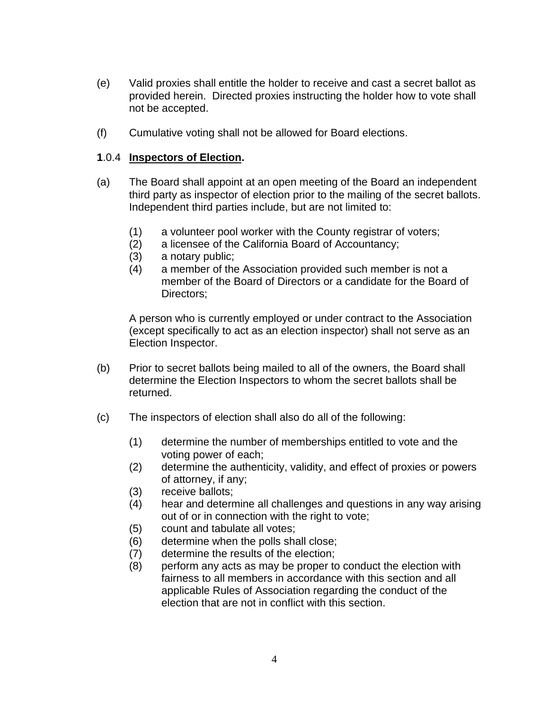- (e) Valid proxies shall entitle the holder to receive and cast a secret ballot as provided herein. Directed proxies instructing the holder how to vote shall not be accepted.
- (f) Cumulative voting shall not be allowed for Board elections.

### **1**.0.4 **Inspectors of Election.**

- (a) The Board shall appoint at an open meeting of the Board an independent third party as inspector of election prior to the mailing of the secret ballots. Independent third parties include, but are not limited to:
	- (1) a volunteer pool worker with the County registrar of voters;
	- (2) a licensee of the California Board of Accountancy;
	- (3) a notary public;
	- (4) a member of the Association provided such member is not a member of the Board of Directors or a candidate for the Board of Directors:

A person who is currently employed or under contract to the Association (except specifically to act as an election inspector) shall not serve as an Election Inspector.

- (b) Prior to secret ballots being mailed to all of the owners, the Board shall determine the Election Inspectors to whom the secret ballots shall be returned.
- (c) The inspectors of election shall also do all of the following:
	- (1) determine the number of memberships entitled to vote and the voting power of each;
	- (2) determine the authenticity, validity, and effect of proxies or powers of attorney, if any;
	- (3) receive ballots;
	- (4) hear and determine all challenges and questions in any way arising out of or in connection with the right to vote;
	- (5) count and tabulate all votes;
	- (6) determine when the polls shall close;
	- (7) determine the results of the election;
	- (8) perform any acts as may be proper to conduct the election with fairness to all members in accordance with this section and all applicable Rules of Association regarding the conduct of the election that are not in conflict with this section.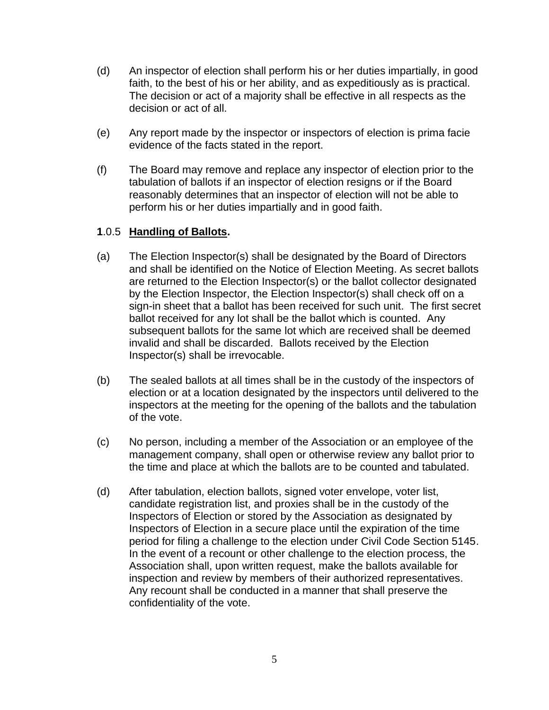- (d) An inspector of election shall perform his or her duties impartially, in good faith, to the best of his or her ability, and as expeditiously as is practical. The decision or act of a majority shall be effective in all respects as the decision or act of all.
- (e) Any report made by the inspector or inspectors of election is prima facie evidence of the facts stated in the report.
- (f) The Board may remove and replace any inspector of election prior to the tabulation of ballots if an inspector of election resigns or if the Board reasonably determines that an inspector of election will not be able to perform his or her duties impartially and in good faith.

### **1**.0.5 **Handling of Ballots.**

- (a) The Election Inspector(s) shall be designated by the Board of Directors and shall be identified on the Notice of Election Meeting. As secret ballots are returned to the Election Inspector(s) or the ballot collector designated by the Election Inspector, the Election Inspector(s) shall check off on a sign-in sheet that a ballot has been received for such unit. The first secret ballot received for any lot shall be the ballot which is counted. Any subsequent ballots for the same lot which are received shall be deemed invalid and shall be discarded. Ballots received by the Election Inspector(s) shall be irrevocable.
- (b) The sealed ballots at all times shall be in the custody of the inspectors of election or at a location designated by the inspectors until delivered to the inspectors at the meeting for the opening of the ballots and the tabulation of the vote.
- (c) No person, including a member of the Association or an employee of the management company, shall open or otherwise review any ballot prior to the time and place at which the ballots are to be counted and tabulated.
- (d) After tabulation, election ballots, signed voter envelope, voter list, candidate registration list, and proxies shall be in the custody of the Inspectors of Election or stored by the Association as designated by Inspectors of Election in a secure place until the expiration of the time period for filing a challenge to the election under Civil Code Section 5145. In the event of a recount or other challenge to the election process, the Association shall, upon written request, make the ballots available for inspection and review by members of their authorized representatives. Any recount shall be conducted in a manner that shall preserve the confidentiality of the vote.